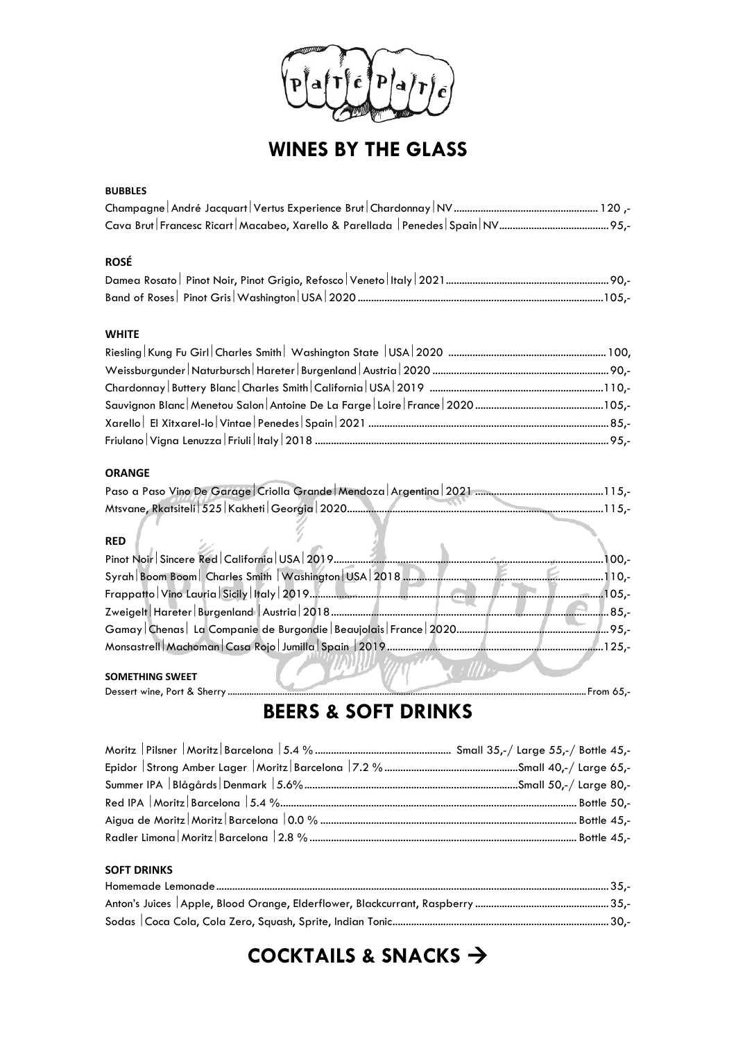

# **WINES BY THE GLASS**

#### **BUBBLES**

### **ROSÉ**

### **WHITE**

### **ORANGE**

| <b>RED</b>             |       |
|------------------------|-------|
|                        | 100,- |
|                        |       |
|                        |       |
|                        |       |
|                        |       |
|                        |       |
|                        |       |
| <b>SOMETHING SWEET</b> |       |

#### **SOMETHING SWEET**

Dessert wine, Port & Sherry ....................................................................................................................................................... From 65,-

## **BEERS & SOFT DRINKS**

 $\mathcal{U}$ 

### **SOFT DRINKS** Homemade Lemonade...................................................................................................................................................35,- Anton's Juices Apple, Blood Orange, Elderflower, Blackcurrant, Raspberry ..................................................35,- Sodas Coca Cola, Cola Zero, Squash, Sprite, Indian Tonic.................................................................................30,-

# **COCKTAILS & SNACKS** →